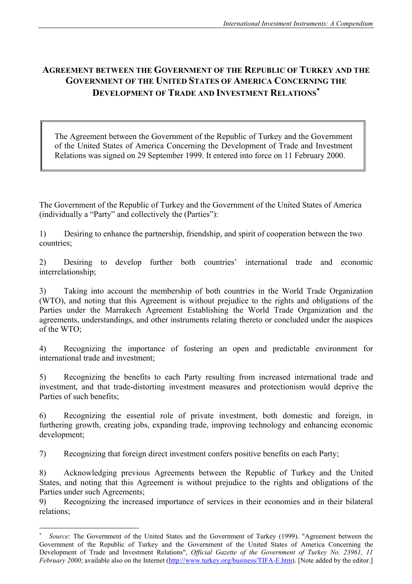# **AGREEMENT BETWEEN THE GOVERNMENT OF THE REPUBLIC OF TURKEY AND THE GOVERNMENT OF THE UNITED STATES OF AMERICA CONCERNING THE DEVELOPMENT OF TRADE AND INVESTMENT RELATIONS**[∗](#page-0-0)

The Agreement between the Government of the Republic of Turkey and the Government of the United States of America Concerning the Development of Trade and Investment Relations was signed on 29 September 1999. It entered into force on 11 February 2000.

The Government of the Republic of Turkey and the Government of the United States of America (individually a "Party" and collectively the (Parties"):

1) Desiring to enhance the partnership, friendship, and spirit of cooperation between the two countries;

2) Desiring to develop further both countries' international trade and economic interrelationship;

3) Taking into account the membership of both countries in the World Trade Organization (WTO), and noting that this Agreement is without prejudice to the rights and obligations of the Parties under the Marrakech Agreement Establishing the World Trade Organization and the agreements, understandings, and other instruments relating thereto or concluded under the auspices of the WTO;

4) Recognizing the importance of fostering an open and predictable environment for international trade and investment;

5) Recognizing the benefits to each Party resulting from increased international trade and investment, and that trade-distorting investment measures and protectionism would deprive the Parties of such benefits;

6) Recognizing the essential role of private investment, both domestic and foreign, in furthering growth, creating jobs, expanding trade, improving technology and enhancing economic development;

7) Recognizing that foreign direct investment confers positive benefits on each Party;

 $\overline{a}$ 

8) Acknowledging previous Agreements between the Republic of Turkey and the United States, and noting that this Agreement is without prejudice to the rights and obligations of the Parties under such Agreements;

9) Recognizing the increased importance of services in their economies and in their bilateral relations;

<span id="page-0-0"></span>*Source*: The Government of the United States and the Government of Turkey (1999). "Agreement between the Government of the Republic of Turkey and the Government of the United States of America Concerning the Development of Trade and Investment Relations", *Official Gazette of the Government of Turkey No. 23961, 11 February 2000*; available also on the Internet (<http://www.turkey.org/business/TIFA-E.htm>). [Note added by the editor.]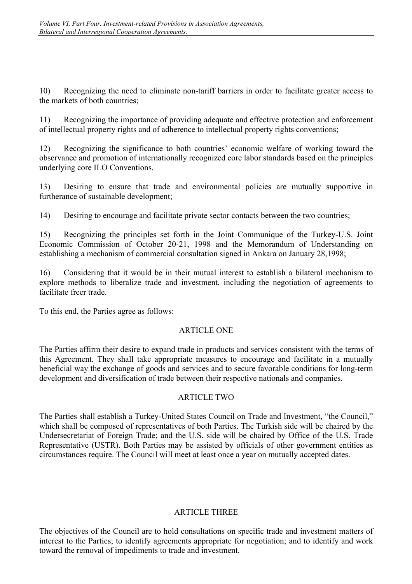10) Recognizing the need to eliminate non-tariff barriers in order to facilitate greater access to the markets of both countries;

11) Recognizing the importance of providing adequate and effective protection and enforcement of intellectual property rights and of adherence to intellectual property rights conventions;

12) Recognizing the significance to both countries' economic welfare of working toward the observance and promotion of internationally recognized core labor standards based on the principles underlying core ILO Conventions.

13) Desiring to ensure that trade and environmental policies are mutually supportive in furtherance of sustainable development;

14) Desiring to encourage and facilitate private sector contacts between the two countries;

15) Recognizing the principles set forth in the Joint Communique of the Turkey-U.S. Joint Economic Commission of October 20-21, 1998 and the Memorandum of Understanding on establishing a mechanism of commercial consultation signed in Ankara on January 28,1998;

16) Considering that it would be in their mutual interest to establish a bilateral mechanism to explore methods to liberalize trade and investment, including the negotiation of agreements to facilitate freer trade.

To this end, the Parties agree as follows:

# ARTICLE ONE

The Parties affirm their desire to expand trade in products and services consistent with the terms of this Agreement. They shall take appropriate measures to encourage and facilitate in a mutually beneficial way the exchange of goods and services and to secure favorable conditions for long-term development and diversification of trade between their respective nationals and companies.

# ARTICLE TWO

The Parties shall establish a Turkey-United States Council on Trade and Investment, "the Council," which shall be composed of representatives of both Parties. The Turkish side will be chaired by the Undersecretariat of Foreign Trade; and the U.S. side will be chaired by Office of the U.S. Trade Representative (USTR). Both Parties may be assisted by officials of other government entities as circumstances require. The Council will meet at least once a year on mutually accepted dates.

# ARTICLE THREE

The objectives of the Council are to hold consultations on specific trade and investment matters of interest to the Parties; to identify agreements appropriate for negotiation; and to identify and work toward the removal of impediments to trade and investment.